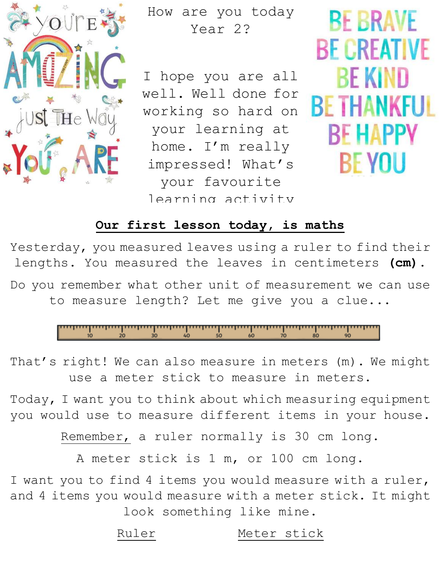

How are you today Year 2?

I hope you are all well. Well done for working so hard on your learning at home. I'm really impressed! What's your favourite learning activity

**BE BRAVE BF CREATIVE BE KIND BE THANKFUL BE HAPPY** BE YOU

#### you have done at home <u>the son coday</u>, is **Our first lesson today, is maths**

Yesterday, you measured leaves using a ruler to find their ine reave: lengths. You measured the leaves in centimeters **(cm).**

Do you remember what other unit of measurement we can use to measure length? Let me give you a clue...



That's right! We can also measure in meters (m). We might use a meter stick to measure in meters.

Today, I want you to think about which measuring equipment you would use to measure different items in your house.

Remember, a ruler normally is 30 cm long.

A meter stick is 1 m, or 100 cm long.

I want you to find 4 items you would measure with a ruler, and 4 items you would measure with a meter stick. It might look something like mine.

Ruler Meter stick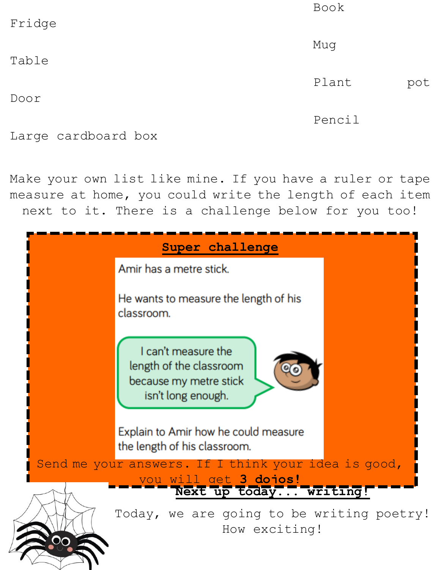| Fridge | <b>Book</b> |     |
|--------|-------------|-----|
| Table  | Mug         |     |
|        | Plant       | pot |
| Door   | Pencil      |     |

Large cardboard box

Make your own list like mine. If you have a ruler or tape measure at home, you could write the length of each item next to it. There is a challenge below for you too!

| Super challenge                                                                                |  |
|------------------------------------------------------------------------------------------------|--|
| Amir has a metre stick.                                                                        |  |
| He wants to measure the length of his<br>classroom.                                            |  |
| I can't measure the<br>length of the classroom<br>because my metre stick<br>isn't long enough. |  |
| Explain to Amir how he could measure<br>the length of his classroom.                           |  |
| Send me your answers. If I think your idea is good,<br>vou will get 3 doios!                   |  |
| Next up today writing!<br>Today, we are going to be writing poetry!<br>How exciting!           |  |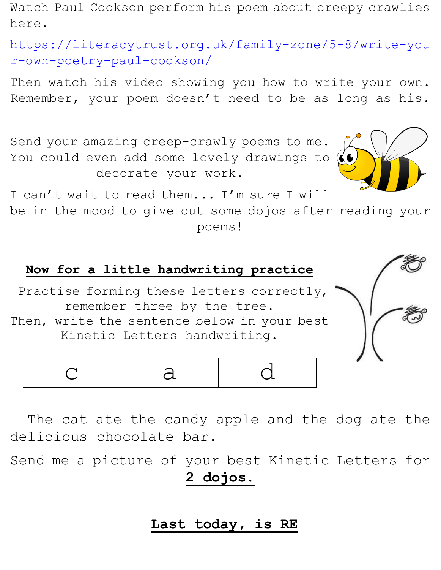Watch Paul Cookson perform his poem about creepy crawlies here.

[https://literacytrust.org.uk/family-zone/5-8/write-you](https://literacytrust.org.uk/family-zone/5-8/write-your-own-poetry-paul-cookson/) [r-own-poetry-paul-cookson/](https://literacytrust.org.uk/family-zone/5-8/write-your-own-poetry-paul-cookson/)

Then watch his video showing you how to write your own. Remember, your poem doesn't need to be as long as his.

Send your amazing creep-crawly poems to me. You could even add some lovely drawings to decorate your work.



I can't wait to read them... I'm sure I will

be in the mood to give out some dojos after reading your poems!

#### **Now for a little handwriting practice**

Practise forming these letters correctly, remember three by the tree.



| Then, write the sentence below in your best |  |  |  |  |
|---------------------------------------------|--|--|--|--|
| Kinetic Letters handwriting.                |  |  |  |  |

|--|--|--|--|

 The cat ate the candy apple and the dog ate the delicious chocolate bar.

Send me a picture of your best Kinetic Letters for **2 dojos.**

## **Last today, is RE**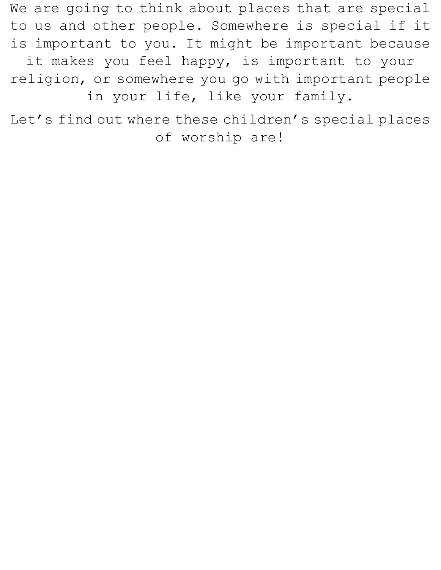We are going to think about places that are special to us and other people. Somewhere is special if it is important to you. It might be important because it makes you feel happy, is important to your religion, or somewhere you go with important people

in your life, like your family.

Let's find out where these children's special places of worship are!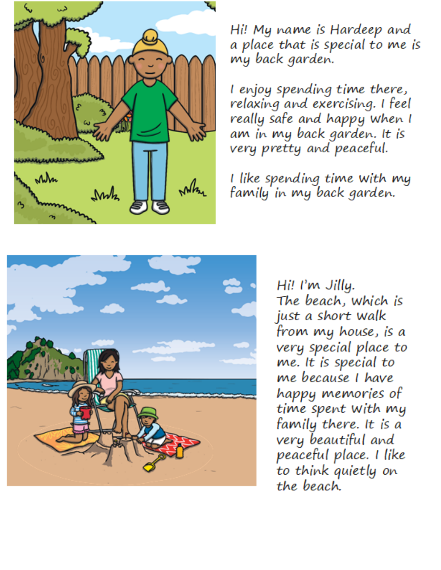

Hi! My name is Hardeep and a place that is special to me is my back garden.

I enjoy spending time there, relaxing and exercising. I feel really safe and happy when I am in my back garden. It is very pretty and peaceful.

I like spending time with my family in my back garden.



Hi! I'm Jilly. The beach, which is just a short walk from my house, is a very special place to me. It is special to me because I have happy memories of time spent with my family there. It is a very beautiful and peaceful place. I like to think quietly on the beach.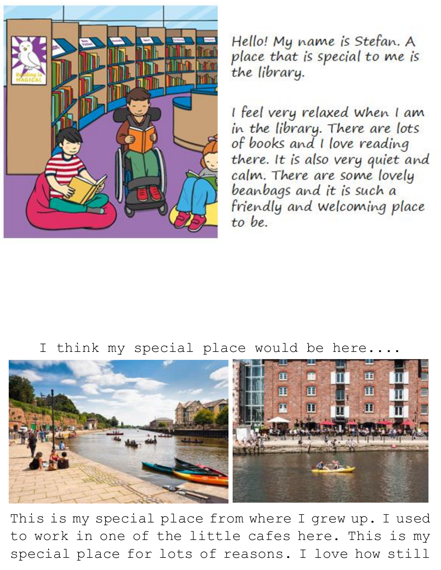

Hello! My name is Stefan. A place that is special to me is the library.

I feel very relaxed when I am in the library. There are lots of books and I love reading there. It is also very quiet and calm. There are some lovely beanbags and it is such a friendly and welcoming place to be.

I think my special place would be here....



This is my special place from where I grew up. I used to work in one of the little cafes here. This is my special place for lots of reasons. I love how still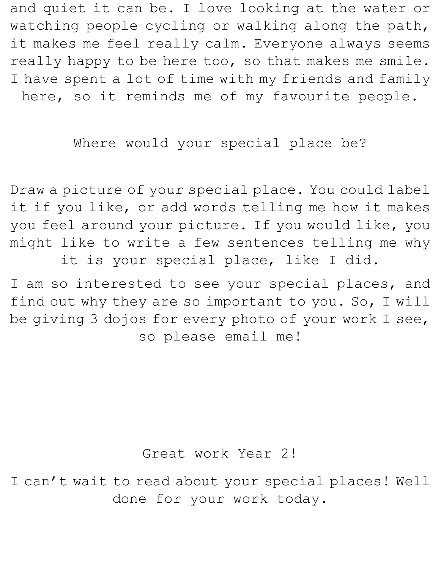and quiet it can be. I love looking at the water or watching people cycling or walking along the path, it makes me feel really calm. Everyone always seems really happy to be here too, so that makes me smile. I have spent a lot of time with my friends and family here, so it reminds me of my favourite people.

# Where would your special place be?

Draw a picture of your special place. You could label it if you like, or add words telling me how it makes you feel around your picture. If you would like, you might like to write a few sentences telling me why it is your special place, like I did.

I am so interested to see your special places, and find out why they are so important to you. So, I will be giving 3 dojos for every photo of your work I see, so please email me!

### Great work Year 2!

I can't wait to read about your special places! Well done for your work today.